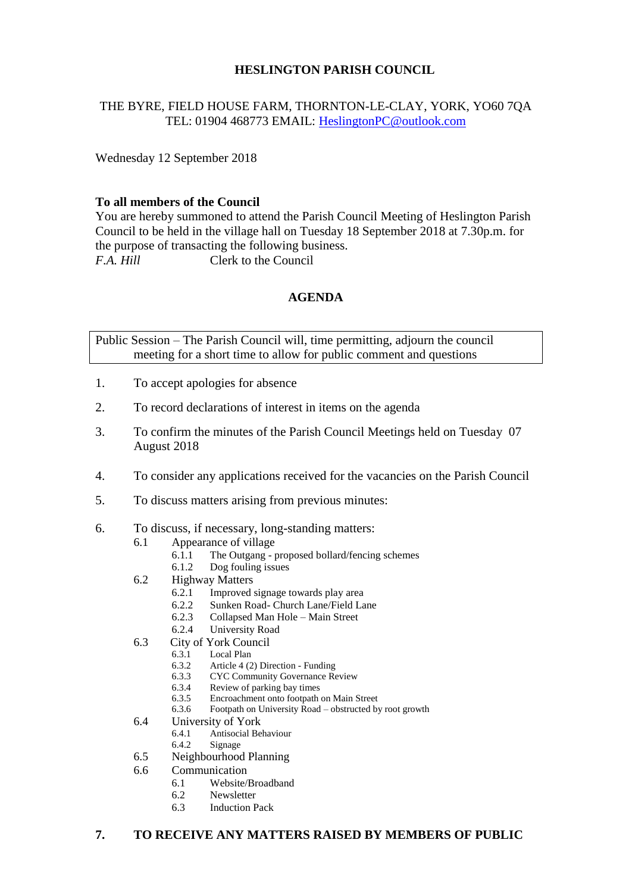## **HESLINGTON PARISH COUNCIL**

# THE BYRE, FIELD HOUSE FARM, THORNTON-LE-CLAY, YORK, YO60 7QA TEL: 01904 468773 EMAIL: [HeslingtonPC@outlook.com](mailto:HeslingtonPC@outlook.com)

Wednesday 12 September 2018

### **To all members of the Council**

You are hereby summoned to attend the Parish Council Meeting of Heslington Parish Council to be held in the village hall on Tuesday 18 September 2018 at 7.30p.m. for the purpose of transacting the following business. *F.A. Hill* Clerk to the Council

## **AGENDA**

Public Session – The Parish Council will, time permitting, adjourn the council meeting for a short time to allow for public comment and questions

- 1. To accept apologies for absence
- 2. To record declarations of interest in items on the agenda
- 3. To confirm the minutes of the Parish Council Meetings held on Tuesday 07 August 2018
- 4. To consider any applications received for the vacancies on the Parish Council
- 5. To discuss matters arising from previous minutes:
- 6. To discuss, if necessary, long-standing matters:
	- 6.1 Appearance of village
		- 6.1.1 The Outgang proposed bollard/fencing schemes<br>6.1.2 Dog fouling issues
		- Dog fouling issues
	- 6.2 Highway Matters
		- 6.2.1 Improved signage towards play area
		- 6.2.2 Sunken Road- Church Lane/Field Lane
		- 6.2.3 Collapsed Man Hole Main Street
		- 6.2.4 University Road
	- 6.3 City of York Council
		- 6.3.1 Local Plan
		- 6.3.2 Article 4 (2) Direction Funding
		- 6.3.3 CYC Community Governance Review
		- 6.3.4 Review of parking bay times
		- 6.3.5 Encroachment onto footpath on Main Street
		- 6.3.6 Footpath on University Road obstructed by root growth
	- 6.4 University of York
		- 6.4.1 Antisocial Behaviour
		- 6.4.2 Signage
	- 6.5 Neighbourhood Planning
	- 6.6 Communication
		- 6.1 Website/Broadband
		- 6.2 Newsletter
		- 6.3 Induction Pack

# **7. TO RECEIVE ANY MATTERS RAISED BY MEMBERS OF PUBLIC**